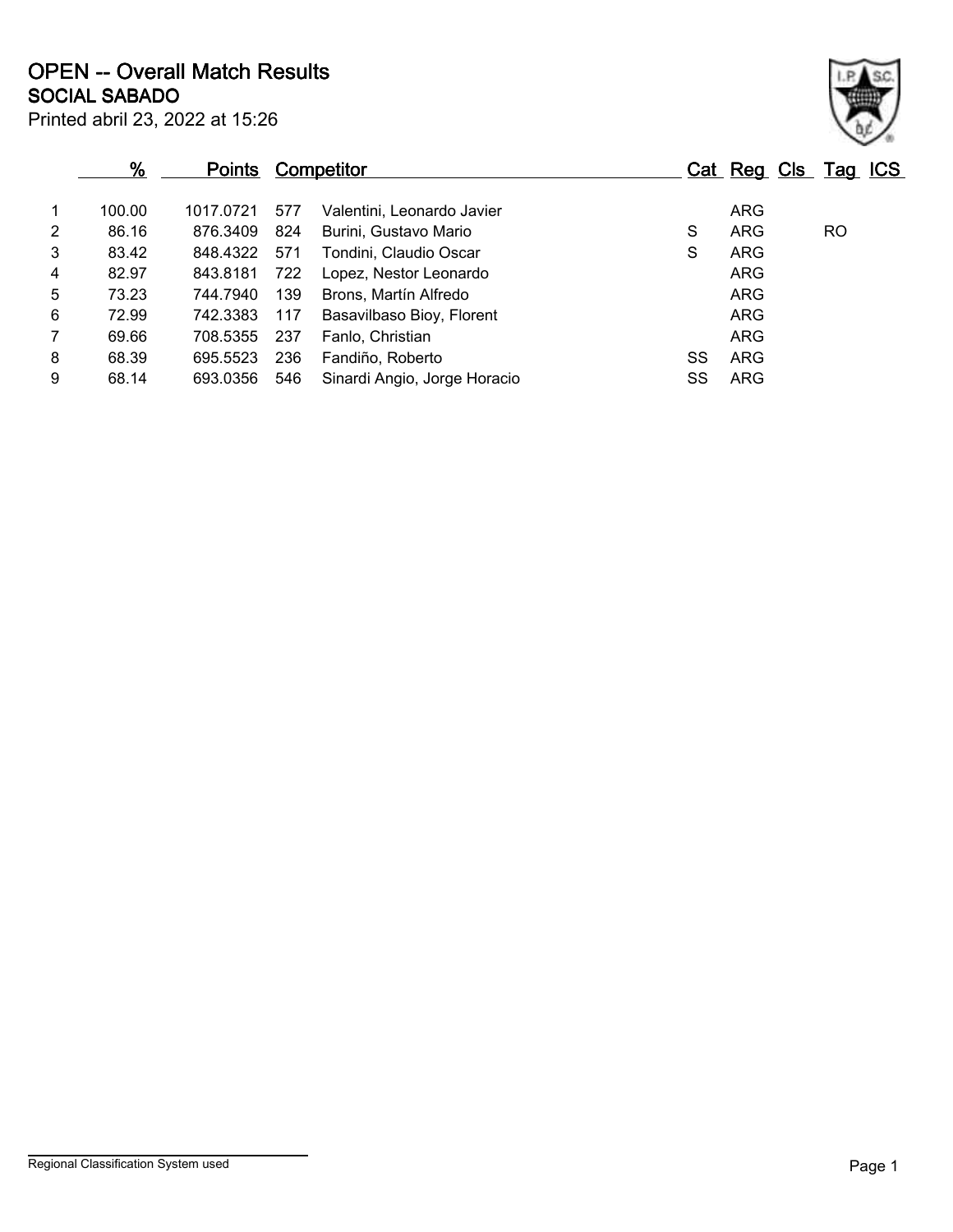|                | $\frac{9}{6}$ | <b>Points</b> |     | Competitor                   |    | Cat Reg Cls Tag ICS |    |  |
|----------------|---------------|---------------|-----|------------------------------|----|---------------------|----|--|
| $\mathbf{1}$   | 100.00        | 1017.0721     | 577 | Valentini, Leonardo Javier   |    | <b>ARG</b>          |    |  |
| $\overline{2}$ | 86.16         | 876.3409      | 824 | Burini, Gustavo Mario        | S  | <b>ARG</b>          | RO |  |
| 3              | 83.42         | 848.4322      | 571 | Tondini, Claudio Oscar       | S  | <b>ARG</b>          |    |  |
| 4              | 82.97         | 843.8181      | 722 | Lopez, Nestor Leonardo       |    | <b>ARG</b>          |    |  |
| 5              | 73.23         | 744.7940      | 139 | Brons, Martín Alfredo        |    | ARG                 |    |  |
| 6              | 72.99         | 742.3383      | 117 | Basavilbaso Bioy, Florent    |    | <b>ARG</b>          |    |  |
| $\overline{7}$ | 69.66         | 708.5355      | 237 | Fanlo, Christian             |    | <b>ARG</b>          |    |  |
| 8              | 68.39         | 695.5523      | 236 | Fandiño, Roberto             | SS | <b>ARG</b>          |    |  |
| 9              | 68.14         | 693.0356      | 546 | Sinardi Angio, Jorge Horacio | SS | <b>ARG</b>          |    |  |
|                |               |               |     |                              |    |                     |    |  |

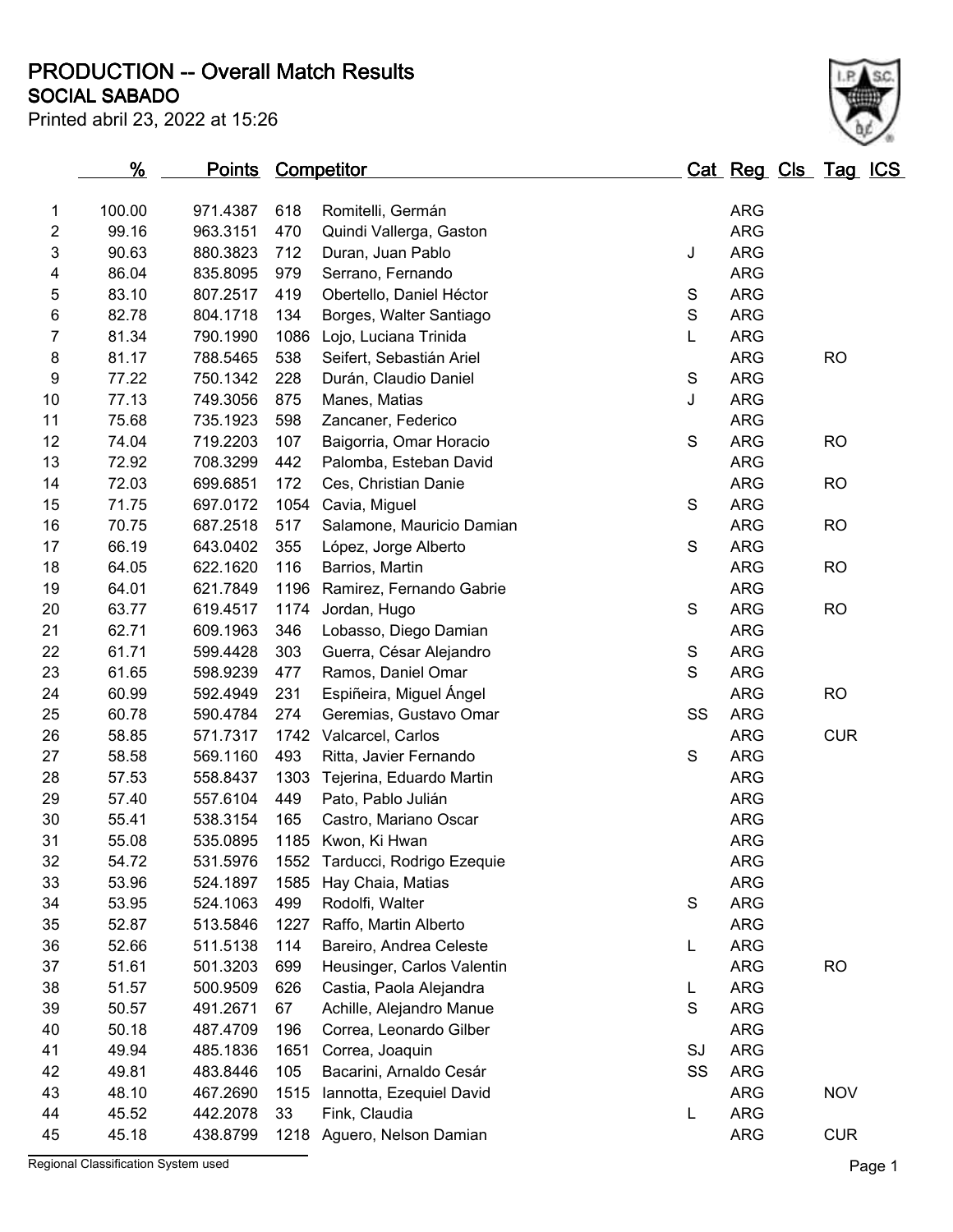**SOCIAL SABADO PRODUCTION -- Overall Match Results**



|        | <u>%</u> | <u>Points Competitor</u> |            |                                |               | <u>Cat Reg Cls Tag ICS</u> |            |  |
|--------|----------|--------------------------|------------|--------------------------------|---------------|----------------------------|------------|--|
|        | 100.00   | 971.4387                 |            |                                |               | <b>ARG</b>                 |            |  |
| 1<br>2 | 99.16    | 963.3151                 | 618<br>470 | Romitelli, Germán              |               | <b>ARG</b>                 |            |  |
|        | 90.63    |                          | 712        | Quindi Vallerga, Gaston        | J             | <b>ARG</b>                 |            |  |
| 3      |          | 880.3823                 |            | Duran, Juan Pablo              |               | <b>ARG</b>                 |            |  |
| 4      | 86.04    | 835.8095                 | 979        | Serrano, Fernando              |               |                            |            |  |
| 5      | 83.10    | 807.2517                 | 419        | Obertello, Daniel Héctor       | S             | <b>ARG</b>                 |            |  |
| 6      | 82.78    | 804.1718                 | 134        | Borges, Walter Santiago        | $\mathsf S$   | <b>ARG</b>                 |            |  |
| 7      | 81.34    | 790.1990                 | 1086       | Lojo, Luciana Trinida          | Г             | <b>ARG</b>                 |            |  |
| 8      | 81.17    | 788.5465                 | 538        | Seifert, Sebastián Ariel       |               | <b>ARG</b>                 | <b>RO</b>  |  |
| 9      | 77.22    | 750.1342                 | 228        | Durán, Claudio Daniel          | ${\mathsf S}$ | <b>ARG</b>                 |            |  |
| 10     | 77.13    | 749.3056                 | 875        | Manes, Matias                  | J             | <b>ARG</b>                 |            |  |
| 11     | 75.68    | 735.1923                 | 598        | Zancaner, Federico             |               | <b>ARG</b>                 |            |  |
| 12     | 74.04    | 719.2203                 | 107        | Baigorria, Omar Horacio        | S             | <b>ARG</b>                 | <b>RO</b>  |  |
| 13     | 72.92    | 708.3299                 | 442        | Palomba, Esteban David         |               | <b>ARG</b>                 |            |  |
| 14     | 72.03    | 699.6851                 | 172        | Ces, Christian Danie           |               | <b>ARG</b>                 | <b>RO</b>  |  |
| 15     | 71.75    | 697.0172                 | 1054       | Cavia, Miguel                  | S             | <b>ARG</b>                 |            |  |
| 16     | 70.75    | 687.2518                 | 517        | Salamone, Mauricio Damian      |               | <b>ARG</b>                 | <b>RO</b>  |  |
| 17     | 66.19    | 643.0402                 | 355        | López, Jorge Alberto           | $\mathbf S$   | <b>ARG</b>                 |            |  |
| 18     | 64.05    | 622.1620                 | 116        | Barrios, Martin                |               | <b>ARG</b>                 | <b>RO</b>  |  |
| 19     | 64.01    | 621.7849                 | 1196       | Ramirez, Fernando Gabrie       |               | <b>ARG</b>                 |            |  |
| 20     | 63.77    | 619.4517                 | 1174       | Jordan, Hugo                   | S             | <b>ARG</b>                 | <b>RO</b>  |  |
| 21     | 62.71    | 609.1963                 | 346        | Lobasso, Diego Damian          |               | <b>ARG</b>                 |            |  |
| 22     | 61.71    | 599.4428                 | 303        | Guerra, César Alejandro        | S             | <b>ARG</b>                 |            |  |
| 23     | 61.65    | 598.9239                 | 477        | Ramos, Daniel Omar             | S             | <b>ARG</b>                 |            |  |
| 24     | 60.99    | 592.4949                 | 231        | Espiñeira, Miguel Ángel        |               | <b>ARG</b>                 | <b>RO</b>  |  |
| 25     | 60.78    | 590.4784                 | 274        | Geremias, Gustavo Omar         | SS            | <b>ARG</b>                 |            |  |
| 26     | 58.85    | 571.7317                 | 1742       | Valcarcel, Carlos              |               | <b>ARG</b>                 | <b>CUR</b> |  |
| 27     | 58.58    | 569.1160                 | 493        | Ritta, Javier Fernando         | S             | <b>ARG</b>                 |            |  |
| 28     | 57.53    | 558.8437                 | 1303       | Tejerina, Eduardo Martin       |               | <b>ARG</b>                 |            |  |
| 29     | 57.40    | 557.6104                 | 449        | Pato, Pablo Julián             |               | <b>ARG</b>                 |            |  |
| 30     | 55.41    | 538.3154                 | 165        | Castro, Mariano Oscar          |               | <b>ARG</b>                 |            |  |
| 31     | 55.08    | 535.0895                 |            | 1185 Kwon, Ki Hwan             |               | <b>ARG</b>                 |            |  |
| 32     | 54.72    | 531.5976                 |            | 1552 Tarducci, Rodrigo Ezequie |               | <b>ARG</b>                 |            |  |
| 33     | 53.96    | 524.1897                 | 1585       | Hay Chaia, Matias              |               | <b>ARG</b>                 |            |  |
| 34     | 53.95    | 524.1063                 | 499        | Rodolfi, Walter                | S             | <b>ARG</b>                 |            |  |
| 35     | 52.87    | 513.5846                 | 1227       | Raffo, Martin Alberto          |               | <b>ARG</b>                 |            |  |
| 36     | 52.66    | 511.5138                 | 114        | Bareiro, Andrea Celeste        | L             | <b>ARG</b>                 |            |  |
| 37     | 51.61    | 501.3203                 | 699        | Heusinger, Carlos Valentin     |               | <b>ARG</b>                 | <b>RO</b>  |  |
| 38     | 51.57    | 500.9509                 | 626        | Castia, Paola Alejandra        | L             | <b>ARG</b>                 |            |  |
| 39     | 50.57    | 491.2671                 | 67         | Achille, Alejandro Manue       | S             | <b>ARG</b>                 |            |  |
| 40     | 50.18    | 487.4709                 | 196        | Correa, Leonardo Gilber        |               | <b>ARG</b>                 |            |  |
| 41     | 49.94    | 485.1836                 | 1651       | Correa, Joaquin                | SJ            | <b>ARG</b>                 |            |  |
| 42     | 49.81    | 483.8446                 | 105        | Bacarini, Arnaldo Cesár        | SS            | <b>ARG</b>                 |            |  |
| 43     | 48.10    | 467.2690                 | 1515       | Iannotta, Ezequiel David       |               | <b>ARG</b>                 | <b>NOV</b> |  |
| 44     | 45.52    | 442.2078                 | 33         | Fink, Claudia                  | L             | <b>ARG</b>                 |            |  |
| 45     | 45.18    | 438.8799                 | 1218       | Aguero, Nelson Damian          |               | <b>ARG</b>                 | <b>CUR</b> |  |

Regional Classification System used **Page 1**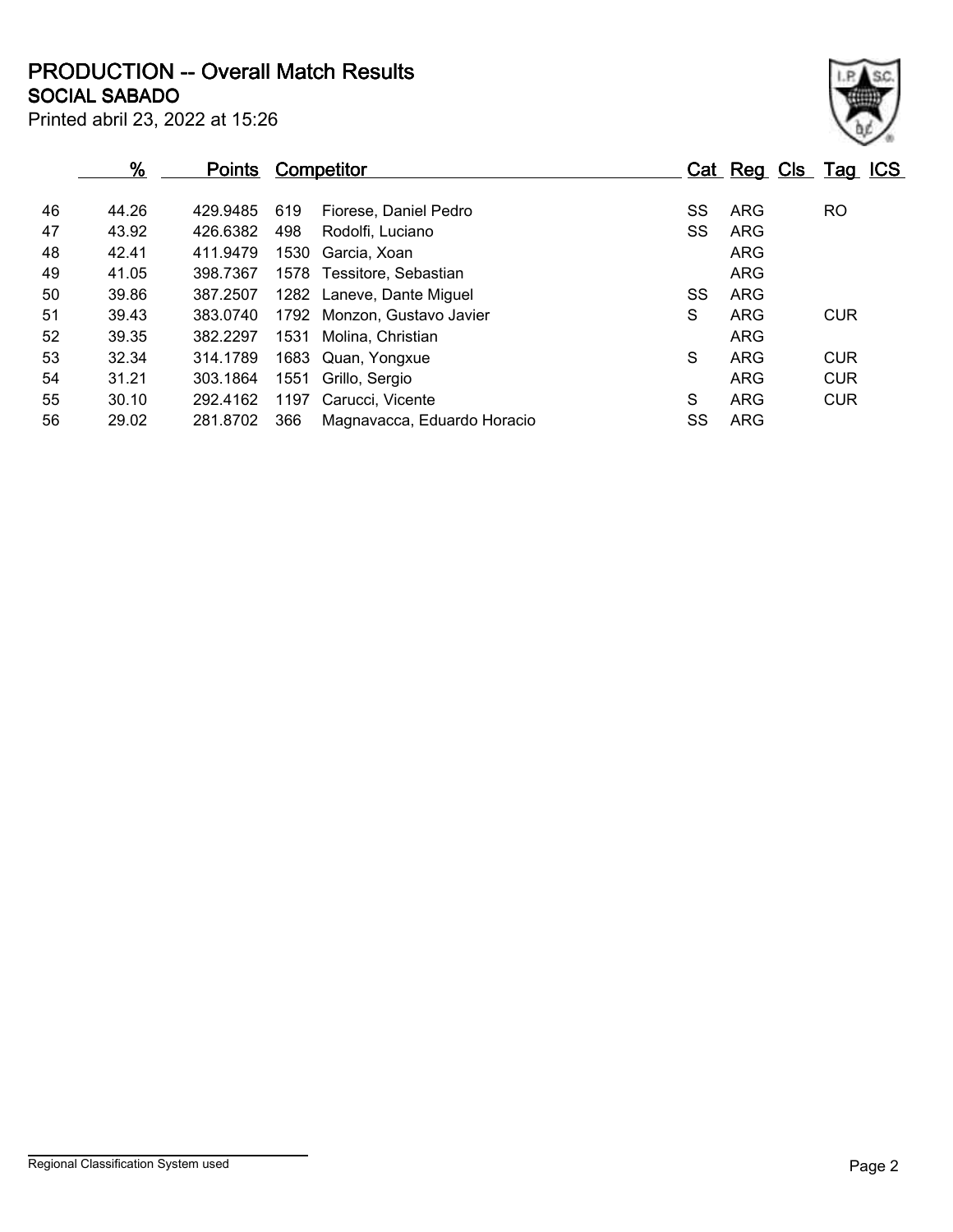**SOCIAL SABADO PRODUCTION -- Overall Match Results**

| Printed abril 23, 2022 at 15:26 |  |
|---------------------------------|--|
|---------------------------------|--|

|    | %     | <b>Points</b> |      | Competitor                  |   |    | Cat Reg Cls Tag ICS |            |  |
|----|-------|---------------|------|-----------------------------|---|----|---------------------|------------|--|
| 46 | 44.26 | 429.9485      | 619  | Fiorese, Daniel Pedro       |   | SS | ARG                 | <b>RO</b>  |  |
| 47 | 43.92 | 426.6382      | 498  | Rodolfi, Luciano            |   | SS | ARG                 |            |  |
| 48 | 42.41 | 411.9479      | 1530 | Garcia, Xoan                |   |    | <b>ARG</b>          |            |  |
| 49 | 41.05 | 398.7367      |      | 1578 Tessitore, Sebastian   |   |    | <b>ARG</b>          |            |  |
| 50 | 39.86 | 387.2507      |      | 1282 Laneve, Dante Miguel   |   | SS | <b>ARG</b>          |            |  |
| 51 | 39.43 | 383.0740      |      | 1792 Monzon, Gustavo Javier | S |    | <b>ARG</b>          | <b>CUR</b> |  |
| 52 | 39.35 | 382.2297      | 1531 | Molina, Christian           |   |    | <b>ARG</b>          |            |  |
| 53 | 32.34 | 314.1789      |      | 1683 Quan, Yongxue          | S |    | ARG                 | <b>CUR</b> |  |
| 54 | 31.21 | 303.1864      | 1551 | Grillo, Sergio              |   |    | ARG                 | <b>CUR</b> |  |
| 55 | 30.10 | 292.4162      | 1197 | Carucci, Vicente            | S |    | <b>ARG</b>          | <b>CUR</b> |  |
| 56 | 29.02 | 281.8702      | 366  | Magnavacca, Eduardo Horacio |   | SS | <b>ARG</b>          |            |  |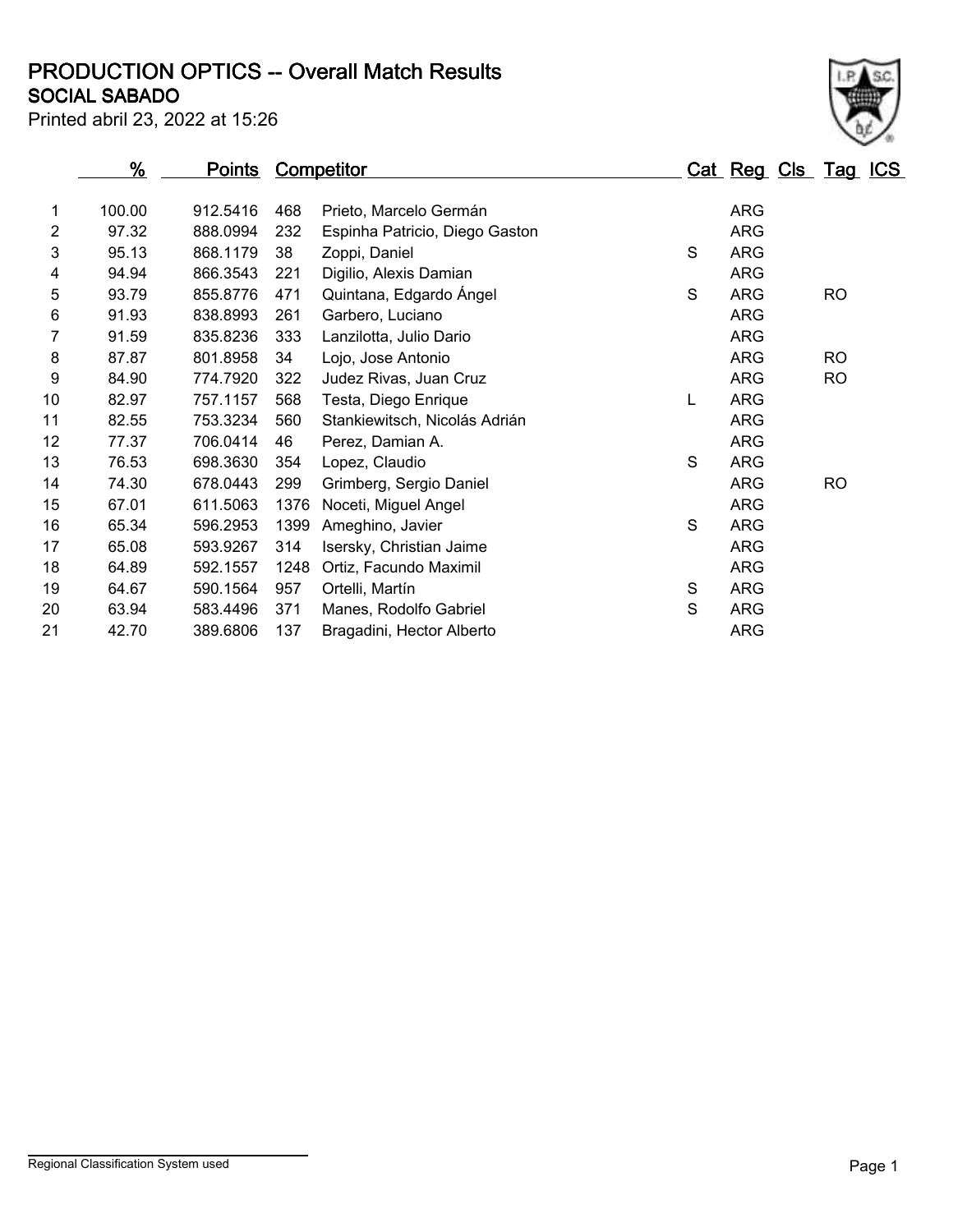## **SOCIAL SABADO PRODUCTION OPTICS -- Overall Match Results**

Printed abril 23, 2022 at 15:26



|                | <u>%</u> | <u>Points</u> |      | <b>Competitor</b>              |   | <u>Cat Reg Cls Tag ICS</u> |           |  |
|----------------|----------|---------------|------|--------------------------------|---|----------------------------|-----------|--|
| 1              | 100.00   | 912.5416      | 468  | Prieto, Marcelo Germán         |   | <b>ARG</b>                 |           |  |
| $\overline{2}$ | 97.32    | 888.0994      | 232  | Espinha Patricio, Diego Gaston |   | <b>ARG</b>                 |           |  |
| 3              | 95.13    | 868.1179      | 38   | Zoppi, Daniel                  | S | <b>ARG</b>                 |           |  |
| 4              | 94.94    | 866.3543      | 221  | Digilio, Alexis Damian         |   | <b>ARG</b>                 |           |  |
| 5              | 93.79    | 855.8776      | 471  | Quintana, Edgardo Ángel        | S | <b>ARG</b>                 | <b>RO</b> |  |
|                |          |               |      |                                |   |                            |           |  |
| 6              | 91.93    | 838.8993      | 261  | Garbero, Luciano               |   | <b>ARG</b>                 |           |  |
| 7              | 91.59    | 835.8236      | 333  | Lanzilotta, Julio Dario        |   | <b>ARG</b>                 |           |  |
| 8              | 87.87    | 801.8958      | 34   | Lojo, Jose Antonio             |   | <b>ARG</b>                 | <b>RO</b> |  |
| 9              | 84.90    | 774.7920      | 322  | Judez Rivas, Juan Cruz         |   | <b>ARG</b>                 | <b>RO</b> |  |
| 10             | 82.97    | 757.1157      | 568  | Testa, Diego Enrique           | L | <b>ARG</b>                 |           |  |
| 11             | 82.55    | 753.3234      | 560  | Stankiewitsch, Nicolás Adrián  |   | <b>ARG</b>                 |           |  |
| 12             | 77.37    | 706.0414      | 46   | Perez, Damian A.               |   | <b>ARG</b>                 |           |  |
| 13             | 76.53    | 698.3630      | 354  | Lopez, Claudio                 | S | <b>ARG</b>                 |           |  |
| 14             | 74.30    | 678.0443      | 299  | Grimberg, Sergio Daniel        |   | <b>ARG</b>                 | <b>RO</b> |  |
| 15             | 67.01    | 611.5063      | 1376 | Noceti, Miguel Angel           |   | <b>ARG</b>                 |           |  |
| 16             | 65.34    | 596.2953      | 1399 | Ameghino, Javier               | S | <b>ARG</b>                 |           |  |
| 17             | 65.08    | 593.9267      | 314  | Isersky, Christian Jaime       |   | <b>ARG</b>                 |           |  |
| 18             | 64.89    | 592.1557      | 1248 | Ortiz, Facundo Maximil         |   | <b>ARG</b>                 |           |  |
| 19             | 64.67    | 590.1564      | 957  | Ortelli, Martín                | S | <b>ARG</b>                 |           |  |
| 20             | 63.94    | 583.4496      | 371  | Manes, Rodolfo Gabriel         | S | <b>ARG</b>                 |           |  |
| 21             | 42.70    | 389.6806      | 137  | Bragadini, Hector Alberto      |   | <b>ARG</b>                 |           |  |